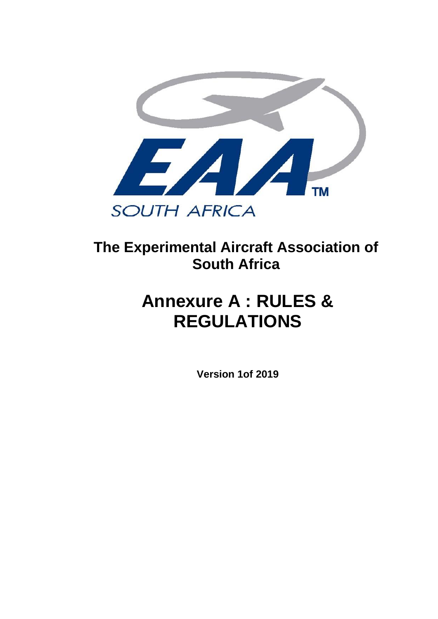

# **The Experimental Aircraft Association of South Africa**

# **Annexure A : RULES & REGULATIONS**

**Version 1of 2019**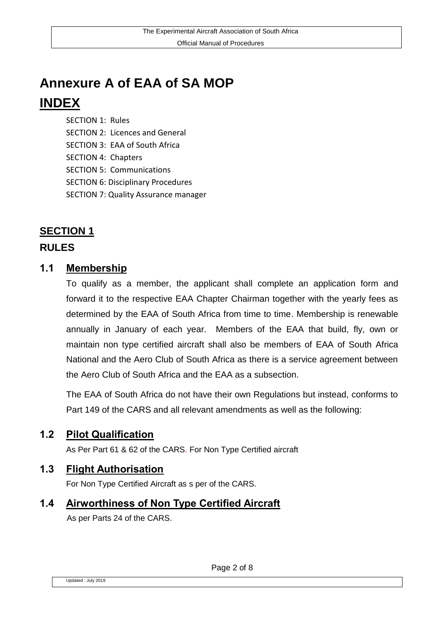# **Annexure A of EAA of SA MOP INDEX**

SECTION 1: Rules SECTION 2: Licences and General SECTION 3: EAA of South Africa SECTION 4: Chapters SECTION 5: Communications SECTION 6: Disciplinary Procedures SECTION 7: Quality Assurance manager

# **SECTION 1**

#### **RULES**

#### **1.1 Membership**

To qualify as a member, the applicant shall complete an application form and forward it to the respective EAA Chapter Chairman together with the yearly fees as determined by the EAA of South Africa from time to time. Membership is renewable annually in January of each year. Members of the EAA that build, fly, own or maintain non type certified aircraft shall also be members of EAA of South Africa National and the Aero Club of South Africa as there is a service agreement between the Aero Club of South Africa and the EAA as a subsection.

The EAA of South Africa do not have their own Regulations but instead, conforms to Part 149 of the CARS and all relevant amendments as well as the following:

#### **1.2 Pilot Qualification**

As Per Part 61 & 62 of the CARS. For Non Type Certified aircraft

#### **1.3 Flight Authorisation**

For Non Type Certified Aircraft as s per of the CARS.

# **1.4 Airworthiness of Non Type Certified Aircraft**

As per Parts 24 of the CARS.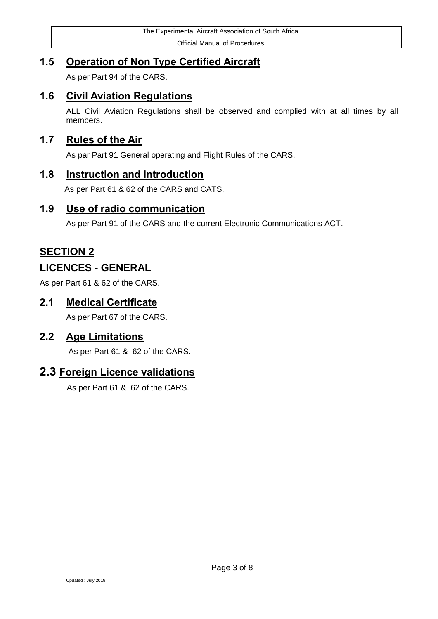Official Manual of Procedures

# **1.5 Operation of Non Type Certified Aircraft**

As per Part 94 of the CARS.

### **1.6 Civil Aviation Regulations**

ALL Civil Aviation Regulations shall be observed and complied with at all times by all members.

#### **1.7 Rules of the Air**

As par Part 91 General operating and Flight Rules of the CARS.

#### **1.8 Instruction and Introduction**

As per Part 61 & 62 of the CARS and CATS.

#### **1.9 Use of radio communication**

As per Part 91 of the CARS and the current Electronic Communications ACT.

# **SECTION 2**

#### **LICENCES - GENERAL**

As per Part 61 & 62 of the CARS.

#### **2.1 Medical Certificate**

As per Part 67 of the CARS.

#### **2.2 Age Limitations**

As per Part 61 & 62 of the CARS.

#### **2.3 Foreign Licence validations**

As per Part 61 & 62 of the CARS.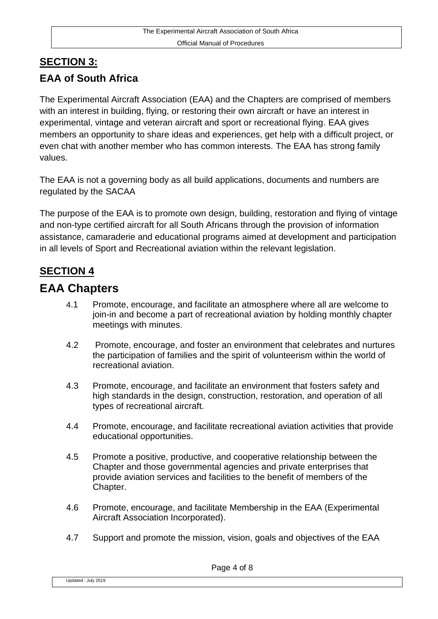# **SECTION 3: EAA of South Africa**

The Experimental Aircraft Association (EAA) and the Chapters are comprised of members with an interest in building, flying, or restoring their own aircraft or have an interest in experimental, vintage and veteran aircraft and sport or recreational flying. EAA gives members an opportunity to share ideas and experiences, get help with a difficult project, or even chat with another member who has common interests. The EAA has strong family values.

The EAA is not a governing body as all build applications, documents and numbers are regulated by the SACAA

The purpose of the EAA is to promote own design, building, restoration and flying of vintage and non-type certified aircraft for all South Africans through the provision of information assistance, camaraderie and educational programs aimed at development and participation in all levels of Sport and Recreational aviation within the relevant legislation.

# **SECTION 4**

# **EAA Chapters**

- 4.1 Promote, encourage, and facilitate an atmosphere where all are welcome to join-in and become a part of recreational aviation by holding monthly chapter meetings with minutes.
- 4.2 Promote, encourage, and foster an environment that celebrates and nurtures the participation of families and the spirit of volunteerism within the world of recreational aviation.
- 4.3 Promote, encourage, and facilitate an environment that fosters safety and high standards in the design, construction, restoration, and operation of all types of recreational aircraft.
- 4.4 Promote, encourage, and facilitate recreational aviation activities that provide educational opportunities.
- 4.5 Promote a positive, productive, and cooperative relationship between the Chapter and those governmental agencies and private enterprises that provide aviation services and facilities to the benefit of members of the Chapter.
- 4.6 Promote, encourage, and facilitate Membership in the EAA (Experimental Aircraft Association Incorporated).
- 4.7 Support and promote the mission, vision, goals and objectives of the EAA

Updated : July 2019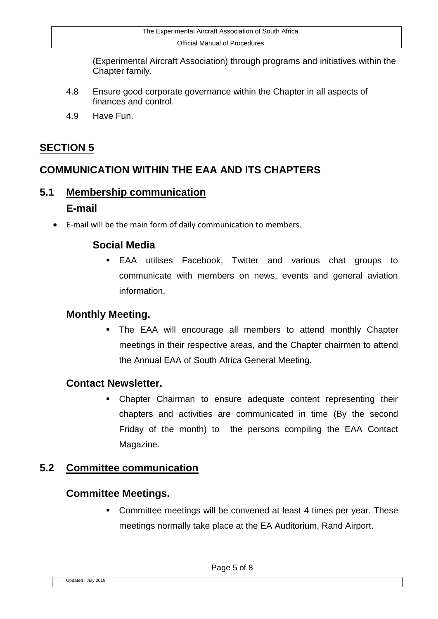(Experimental Aircraft Association) through programs and initiatives within the Chapter family.

- 4.8 Ensure good corporate governance within the Chapter in all aspects of finances and control.
- 4.9 Have Fun.

# **SECTION 5**

# **COMMUNICATION WITHIN THE EAA AND ITS CHAPTERS**

# **5.1 Membership communication E-mail**

E-mail will be the main form of daily communication to members.

# **Social Media**

 EAA utilises Facebook, Twitter and various chat groups to communicate with members on news, events and general aviation information.

# **Monthly Meeting.**

 The EAA will encourage all members to attend monthly Chapter meetings in their respective areas, and the Chapter chairmen to attend the Annual EAA of South Africa General Meeting.

# **Contact Newsletter.**

**EXECHA)** Chapter Chairman to ensure adequate content representing their chapters and activities are communicated in time (By the second Friday of the month) to the persons compiling the EAA Contact Magazine.

# **5.2 Committee communication**

# **Committee Meetings.**

**Committee meetings will be convened at least 4 times per year. These** meetings normally take place at the EA Auditorium, Rand Airport.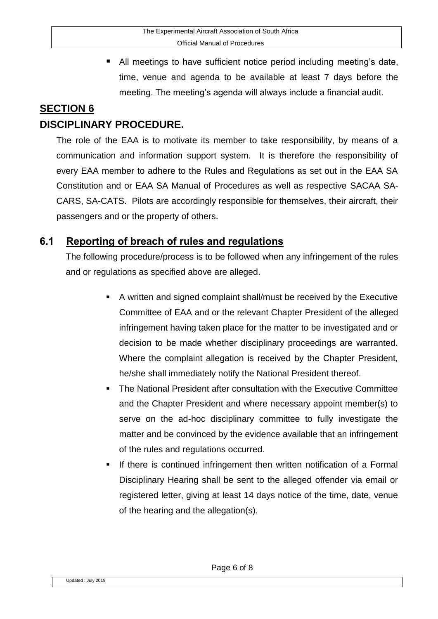■ All meetings to have sufficient notice period including meeting's date, time, venue and agenda to be available at least 7 days before the meeting. The meeting's agenda will always include a financial audit.

### **SECTION 6 DISCIPLINARY PROCEDURE.**

The role of the EAA is to motivate its member to take responsibility, by means of a communication and information support system. It is therefore the responsibility of every EAA member to adhere to the Rules and Regulations as set out in the EAA SA Constitution and or EAA SA Manual of Procedures as well as respective SACAA SA-CARS, SA-CATS. Pilots are accordingly responsible for themselves, their aircraft, their passengers and or the property of others.

# **6.1 Reporting of breach of rules and regulations**

The following procedure/process is to be followed when any infringement of the rules and or regulations as specified above are alleged.

- A written and signed complaint shall/must be received by the Executive Committee of EAA and or the relevant Chapter President of the alleged infringement having taken place for the matter to be investigated and or decision to be made whether disciplinary proceedings are warranted. Where the complaint allegation is received by the Chapter President, he/she shall immediately notify the National President thereof.
- The National President after consultation with the Executive Committee and the Chapter President and where necessary appoint member(s) to serve on the ad-hoc disciplinary committee to fully investigate the matter and be convinced by the evidence available that an infringement of the rules and regulations occurred.
- If there is continued infringement then written notification of a Formal Disciplinary Hearing shall be sent to the alleged offender via email or registered letter, giving at least 14 days notice of the time, date, venue of the hearing and the allegation(s).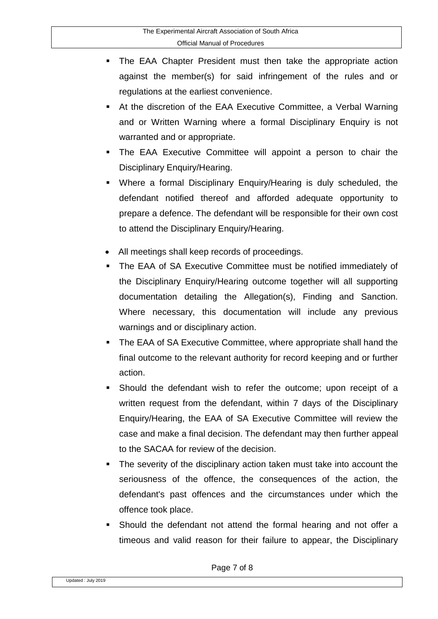- The EAA Chapter President must then take the appropriate action against the member(s) for said infringement of the rules and or regulations at the earliest convenience.
- At the discretion of the EAA Executive Committee, a Verbal Warning and or Written Warning where a formal Disciplinary Enquiry is not warranted and or appropriate.
- The EAA Executive Committee will appoint a person to chair the Disciplinary Enquiry/Hearing.
- Where a formal Disciplinary Enquiry/Hearing is duly scheduled, the defendant notified thereof and afforded adequate opportunity to prepare a defence. The defendant will be responsible for their own cost to attend the Disciplinary Enquiry/Hearing.
- All meetings shall keep records of proceedings.
- The EAA of SA Executive Committee must be notified immediately of the Disciplinary Enquiry/Hearing outcome together will all supporting documentation detailing the Allegation(s), Finding and Sanction. Where necessary, this documentation will include any previous warnings and or disciplinary action.
- The EAA of SA Executive Committee, where appropriate shall hand the final outcome to the relevant authority for record keeping and or further action.
- Should the defendant wish to refer the outcome; upon receipt of a written request from the defendant, within 7 days of the Disciplinary Enquiry/Hearing, the EAA of SA Executive Committee will review the case and make a final decision. The defendant may then further appeal to the SACAA for review of the decision.
- The severity of the disciplinary action taken must take into account the seriousness of the offence, the consequences of the action, the defendant's past offences and the circumstances under which the offence took place.
- Should the defendant not attend the formal hearing and not offer a timeous and valid reason for their failure to appear, the Disciplinary